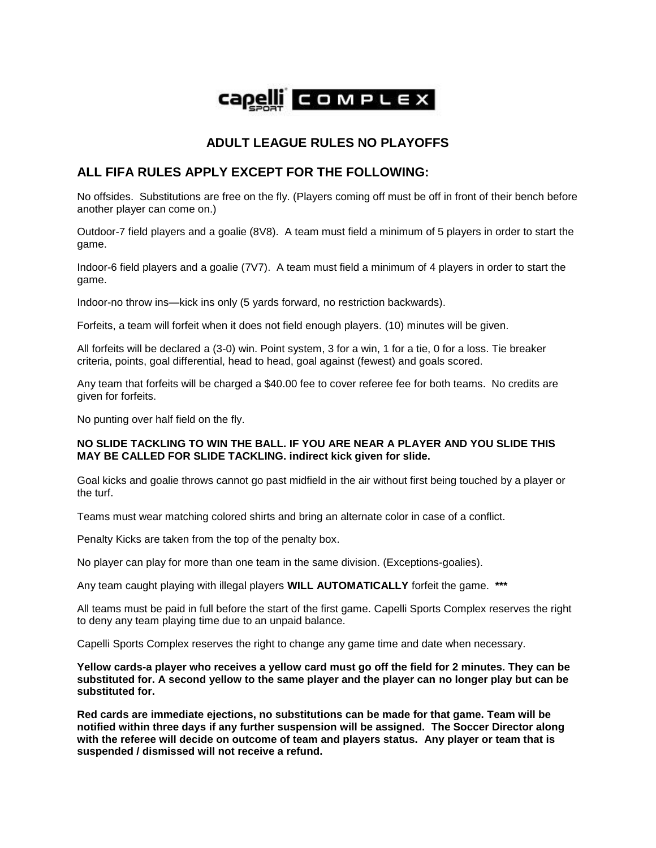

## **ADULT LEAGUE RULES NO PLAYOFFS**

## **ALL FIFA RULES APPLY EXCEPT FOR THE FOLLOWING:**

No offsides. Substitutions are free on the fly. (Players coming off must be off in front of their bench before another player can come on.)

Outdoor-7 field players and a goalie (8V8). A team must field a minimum of 5 players in order to start the game.

Indoor-6 field players and a goalie (7V7). A team must field a minimum of 4 players in order to start the game.

Indoor-no throw ins—kick ins only (5 yards forward, no restriction backwards).

Forfeits, a team will forfeit when it does not field enough players. (10) minutes will be given.

All forfeits will be declared a (3-0) win. Point system, 3 for a win, 1 for a tie, 0 for a loss. Tie breaker criteria, points, goal differential, head to head, goal against (fewest) and goals scored.

Any team that forfeits will be charged a \$40.00 fee to cover referee fee for both teams. No credits are given for forfeits.

No punting over half field on the fly.

## **NO SLIDE TACKLING TO WIN THE BALL. IF YOU ARE NEAR A PLAYER AND YOU SLIDE THIS MAY BE CALLED FOR SLIDE TACKLING. indirect kick given for slide.**

Goal kicks and goalie throws cannot go past midfield in the air without first being touched by a player or the turf.

Teams must wear matching colored shirts and bring an alternate color in case of a conflict.

Penalty Kicks are taken from the top of the penalty box.

No player can play for more than one team in the same division. (Exceptions-goalies).

Any team caught playing with illegal players **WILL AUTOMATICALLY** forfeit the game. **\*\*\*** 

All teams must be paid in full before the start of the first game. Capelli Sports Complex reserves the right to deny any team playing time due to an unpaid balance.

Capelli Sports Complex reserves the right to change any game time and date when necessary.

**Yellow cards-a player who receives a yellow card must go off the field for 2 minutes. They can be substituted for. A second yellow to the same player and the player can no longer play but can be substituted for.**

**Red cards are immediate ejections, no substitutions can be made for that game. Team will be notified within three days if any further suspension will be assigned. The Soccer Director along with the referee will decide on outcome of team and players status. Any player or team that is suspended / dismissed will not receive a refund.**